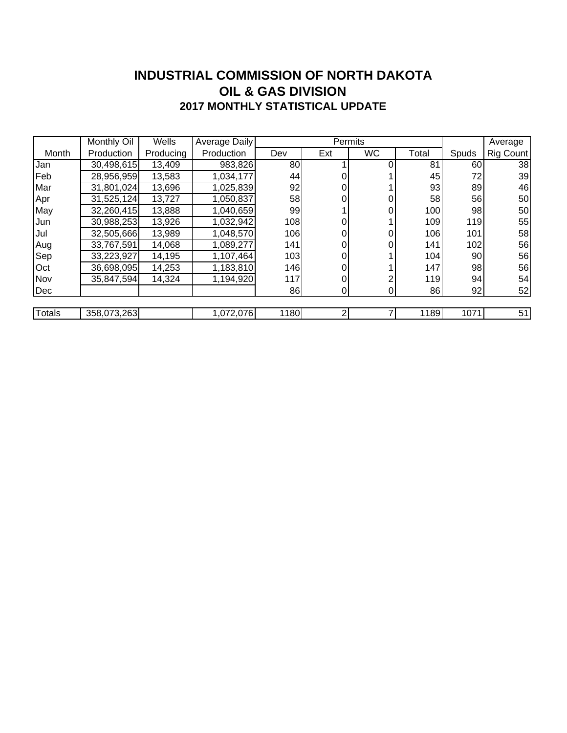### **INDUSTRIAL COMMISSION OF NORTH DAKOTA 2017 MONTHLY STATISTICAL UPDATE OIL & GAS DIVISION**

|               | Monthly Oil | Wells     | Average Daily |      | Permits |                |       |       | Average   |
|---------------|-------------|-----------|---------------|------|---------|----------------|-------|-------|-----------|
| Month         | Production  | Producing | Production    | Dev  | Ext     | <b>WC</b>      | Total | Spuds | Rig Count |
| Jan           | 30,498,615  | 13,409    | 983,826       | 80   |         |                | 81    | 60    | 38        |
| Feb           | 28,956,959  | 13,583    | 1,034,177     | 44   | 0       |                | 45    | 72    | 39        |
| Mar           | 31,801,024  | 13,696    | 1,025,839     | 92   | 0       |                | 93    | 89    | 46        |
| Apr           | 31,525,124  | 13,727    | 1,050,837     | 58   | 0       |                | 58    | 56    | 50        |
| May           | 32,260,415  | 13,888    | 1,040,659     | 99   |         |                | 100   | 98    | 50        |
| Jun           | 30,988,253  | 13,926    | 1,032,942     | 108  |         |                | 109   | 119   | 55        |
| Jul           | 32,505,666  | 13,989    | 1,048,570     | 106  | 0       |                | 106   | 101   | 58        |
| Aug           | 33,767,591  | 14,068    | 1,089,277     | 141  | 0       | 0              | 141   | 102   | 56        |
| Sep           | 33,223,927  | 14,195    | 1,107,464     | 103  | 0       |                | 104   | 90    | 56        |
| Oct           | 36,698,095  | 14,253    | 1,183,810     | 146  | 0       |                | 147   | 98    | 56        |
| Nov           | 35,847,594  | 14,324    | 1,194,920     | 117  | 0       |                | 119   | 94    | 54        |
| Dec           |             |           |               | 86   | 0       | $\overline{0}$ | 86    | 92    | 52        |
|               |             |           |               |      |         |                |       |       |           |
| <b>Totals</b> | 358,073,263 |           | 1,072,076     | 1180 | 2       |                | 1189  | 1071  | 51        |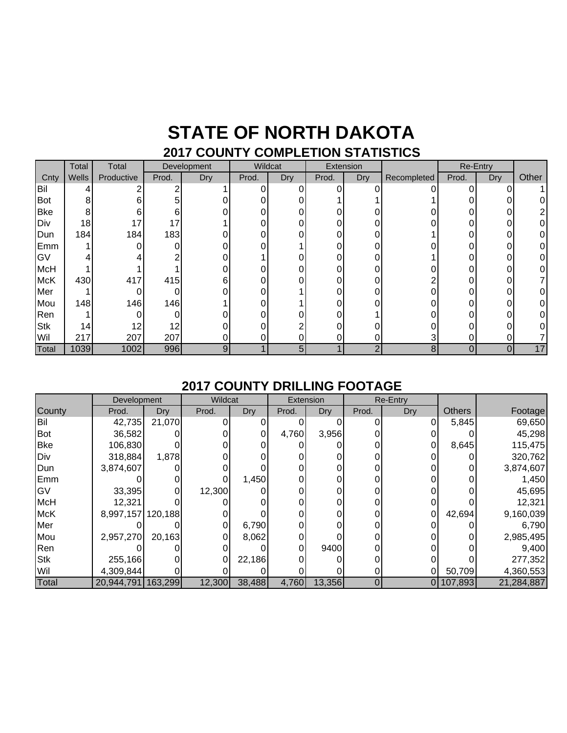### **STATE OF NORTH DAKOTA 2017 COUNTY COMPLETION STATISTICS**

|            | Total | Total      | Development |     | Wildcat  |     | Extension |                  |             | Re-Entry |     |       |
|------------|-------|------------|-------------|-----|----------|-----|-----------|------------------|-------------|----------|-----|-------|
| Cnty       | Wells | Productive | Prod.       | Dry | Prod.    | Dry | Prod.     | Dry <sup>7</sup> | Recompleted | Prod.    | Dry | Other |
| Bil        |       |            |             |     | 0        |     |           |                  |             |          |     |       |
| <b>Bot</b> | 8     | 6          | 5           |     | 0        |     |           |                  |             |          |     |       |
| <b>Bke</b> | 8     | 6          | 6           |     | 0        | 0   |           |                  |             |          | 0   |       |
| Div        | 18    | 17         | 17          |     | 0        |     | ი         |                  |             |          |     |       |
| Dun        | 184   | 184        | 183         |     | 0        |     | 0         |                  |             |          | 0   |       |
| Emm        |       |            |             |     | U        |     |           |                  |             |          |     |       |
| GV         |       |            |             |     |          |     |           |                  |             |          |     |       |
| <b>McH</b> |       |            |             |     | 0        |     |           |                  |             |          |     |       |
| <b>McK</b> | 430   | 417        | 415         | 6   | 0        |     | 0         |                  |             |          |     |       |
| Mer        |       |            | 0           |     | $\Omega$ |     | 0         |                  |             |          | ი   |       |
| Mou        | 148   | 146        | 146         |     | 0        |     |           |                  |             |          |     |       |
| Ren        |       |            |             |     | 0        |     |           |                  |             |          |     |       |
| <b>Stk</b> | 14    | 12         | 12          |     | 0        |     |           |                  |             |          |     |       |
| Wil        | 217   | 207        | 207         |     | 0        |     |           |                  | 3           |          |     |       |
| Total      | 1039  | 1002       | 996         | 9   |          | 5   |           | C                | 8           | 0        | 0   | 17    |

#### **2017 COUNTY DRILLING FOOTAGE**

|            | Development |         | Wildcat |        |       | Extension | Re-Entry |     |               |            |
|------------|-------------|---------|---------|--------|-------|-----------|----------|-----|---------------|------------|
| County     | Prod.       | Dry     | Prod.   | Dry    | Prod. | Dry       | Prod.    | Dry | <b>Others</b> | Footage    |
| Bil        | 42,735      | 21,070  |         |        |       |           |          |     | 5,845         | 69,650     |
| <b>Bot</b> | 36,582      |         |         |        | 4,760 | 3,956     |          |     |               | 45,298     |
| <b>Bke</b> | 106,830     |         |         |        |       |           |          |     | 8,645         | 115,475    |
| Div        | 318,884     | 1,878   |         |        |       |           |          |     |               | 320,762    |
| Dun        | 3,874,607   |         |         |        |       |           |          |     |               | 3,874,607  |
| Emm        |             |         |         | 1,450  |       |           |          |     |               | 1,450      |
| GV         | 33,395      |         | 12,300  |        |       |           |          |     |               | 45,695     |
| <b>McH</b> | 12,321      |         |         |        |       |           |          | 0   |               | 12,321     |
| <b>McK</b> | 8,997,157   | 120,188 |         |        |       |           |          | 0   | 42,694        | 9,160,039  |
| Mer        |             |         |         | 6,790  |       |           |          |     |               | 6,790      |
| Mou        | 2,957,270   | 20,163  |         | 8,062  |       |           |          |     |               | 2,985,495  |
| Ren        |             |         |         |        |       | 9400      |          |     |               | 9,400      |
| <b>Stk</b> | 255,166     |         |         | 22,186 |       |           |          |     |               | 277,352    |
| Wil        | 4,309,844   |         |         |        |       |           |          |     | 50,709        | 4,360,553  |
| Total      | 20,944,791  | 163,299 | 12,300  | 38,488 | 4,760 | 13,356    | 0        |     | 0 107,893     | 21,284,887 |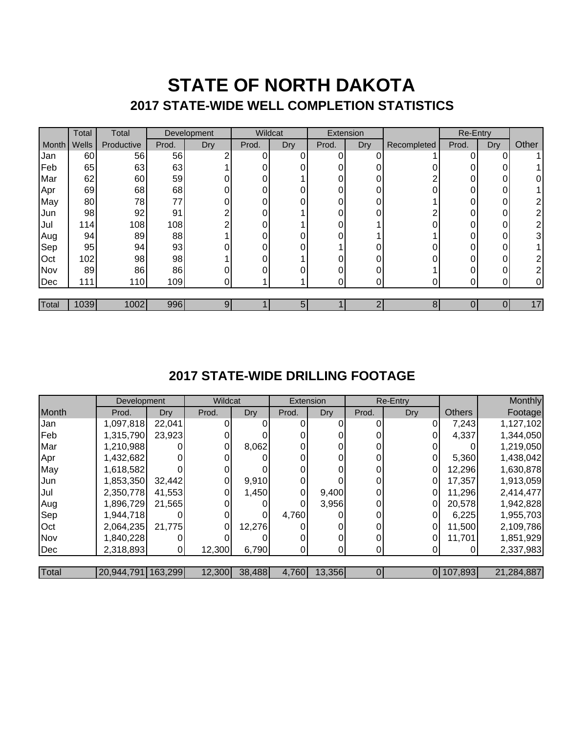## **STATE OF NORTH DAKOTA 2017 STATE-WIDE WELL COMPLETION STATISTICS**

|       | Total | Total      |       | Development | Wildcat |     | Extension |     | Re-Entry    |          |            |              |
|-------|-------|------------|-------|-------------|---------|-----|-----------|-----|-------------|----------|------------|--------------|
| Month | Wells | Productive | Prod. | <b>Dry</b>  | Prod.   | Dry | Prod.     | Dry | Recompleted | Prod.    | <b>Dry</b> | Other        |
| Jan   | 60    | 56         | 56    | ົ           | 0       | 0   | 0         |     |             |          | 0          |              |
| Feb   | 65    | 63         | 63    |             |         |     | 0         |     |             |          | 0          |              |
| Mar   | 62    | 60         | 59    |             |         |     | 0         |     |             | $\Omega$ | 0          | 0            |
| Apr   | 69    | 68         | 68    |             | 0       |     | 0         |     |             |          | 0          |              |
| May   | 80    | 78         | 77    | 0           |         |     | 0         | 0   |             |          | 0          | 2            |
| Jun   | 98    | 92         | 91    | ⌒           | ი       |     | 0         | ∩   |             | U        | 0          | າ            |
| Jul   | 114   | 108        | 108   | ⌒           | ი       |     | 0         |     |             |          | 0          | 2            |
| Aug   | 94    | 89         | 88    |             |         |     |           |     |             |          | 0          | 3            |
| Sep   | 95    | 94         | 93    |             | ი       |     |           |     |             | n        | 0          |              |
| Oct   | 102   | 98         | 98    |             |         |     | $\Omega$  |     |             | $\Omega$ | 0          | 2            |
| Nov   | 89    | 86         | 86    |             | ი       |     | 0         |     |             |          | 0          | 2            |
| Dec   | 111   | 110        | 109   | 01          |         |     | 0         | 0   |             |          | ი          | $\mathbf{0}$ |
|       |       |            |       |             |         |     |           |     |             |          |            |              |
| Total | 1039  | 1002       | 996   | 91          |         | 5   |           | ⌒   | 8           |          |            | 17           |

### **2017 STATE-WIDE DRILLING FOOTAGE**

|       | Development        |        | Wildcat |        | Extension |        | Re-Entry |     |               | Monthly    |
|-------|--------------------|--------|---------|--------|-----------|--------|----------|-----|---------------|------------|
| Month | Prod.              | Dry    | Prod.   | Dry    | Prod.     | Dry    | Prod.    | Dry | <b>Others</b> | Footage    |
| Jan   | 1,097,818          | 22,041 |         |        |           |        |          | 0   | 7,243         | 1,127,102  |
| Feb   | 1,315,790          | 23,923 |         |        |           |        |          |     | 4,337         | 1,344,050  |
| Mar   | 1,210,988          |        |         | 8,062  |           |        |          |     |               | 1,219,050  |
| Apr   | 1,432,682          | ΩI     |         |        |           |        | 0        | 0   | 5,360         | 1,438,042  |
| May   | 1,618,582          |        |         |        |           |        | 0        | 0   | 12,296        | 1,630,878  |
| Jun   | 1,853,350          | 32,442 |         | 9,910  |           |        |          | 0   | 17,357        | 1,913,059  |
| Jul   | 2,350,778          | 41,553 |         | 1,450  | 0         | 9,400  | 0        | 0   | 11,296        | 2,414,477  |
| Aug   | 1,896,729          | 21,565 |         |        |           | 3,956  | 0        | 0   | 20,578        | 1,942,828  |
| Sep   | 1,944,718          |        |         |        | 4,760     |        | 0        | 0'  | 6,225         | 1,955,703  |
| Oct   | 2,064,235          | 21,775 |         | 12,276 |           |        | 0        | 0   | 11,500        | 2,109,786  |
| Nov   | 1,840,228          |        |         |        |           |        |          | 0   | 11,701        | 1,851,929  |
| Dec   | 2,318,893          | 01     | 12,300  | 6,790  |           |        | 0        |     |               | 2,337,983  |
|       |                    |        |         |        |           |        |          |     |               |            |
| Total | 20,944,791 163,299 |        | 12,300  | 38,488 | 4,760     | 13,356 | 0        |     | 0 107,893     | 21,284,887 |